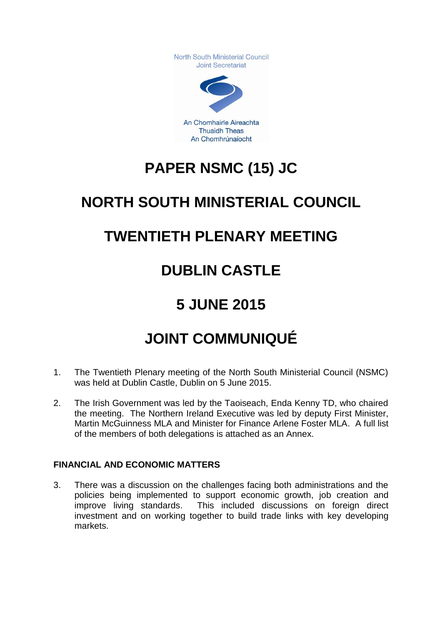North South Ministerial Council Joint Secretariat



An Chomhairle Aireachta **Thuaidh Theas** An Chomhrúnaíocht

# **PAPER NSMC (15) JC**

# **NORTH SOUTH MINISTERIAL COUNCIL**

## **TWENTIETH PLENARY MEETING**

# **DUBLIN CASTLE**

# **5 JUNE 2015**

# **JOINT COMMUNIQUÉ**

- 1. The Twentieth Plenary meeting of the North South Ministerial Council (NSMC) was held at Dublin Castle, Dublin on 5 June 2015.
- 2. The Irish Government was led by the Taoiseach, Enda Kenny TD, who chaired the meeting. The Northern Ireland Executive was led by deputy First Minister, Martin McGuinness MLA and Minister for Finance Arlene Foster MLA. A full list of the members of both delegations is attached as an Annex.

### **FINANCIAL AND ECONOMIC MATTERS**

3. There was a discussion on the challenges facing both administrations and the policies being implemented to support economic growth, job creation and improve living standards. This included discussions on foreign direct investment and on working together to build trade links with key developing markets.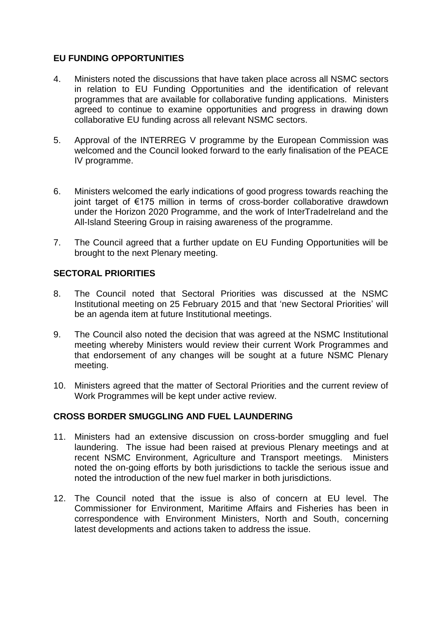### **EU FUNDING OPPORTUNITIES**

- 4. Ministers noted the discussions that have taken place across all NSMC sectors in relation to EU Funding Opportunities and the identification of relevant programmes that are available for collaborative funding applications. Ministers agreed to continue to examine opportunities and progress in drawing down collaborative EU funding across all relevant NSMC sectors.
- 5. Approval of the INTERREG V programme by the European Commission was welcomed and the Council looked forward to the early finalisation of the PEACE IV programme.
- 6. Ministers welcomed the early indications of good progress towards reaching the joint target of €175 million in terms of cross-border collaborative drawdown under the Horizon 2020 Programme, and the work of InterTradeIreland and the All-Island Steering Group in raising awareness of the programme.
- 7. The Council agreed that a further update on EU Funding Opportunities will be brought to the next Plenary meeting.

### **SECTORAL PRIORITIES**

- 8. The Council noted that Sectoral Priorities was discussed at the NSMC Institutional meeting on 25 February 2015 and that 'new Sectoral Priorities' will be an agenda item at future Institutional meetings.
- 9. The Council also noted the decision that was agreed at the NSMC Institutional meeting whereby Ministers would review their current Work Programmes and that endorsement of any changes will be sought at a future NSMC Plenary meeting.
- 10. Ministers agreed that the matter of Sectoral Priorities and the current review of Work Programmes will be kept under active review.

#### **CROSS BORDER SMUGGLING AND FUEL LAUNDERING**

- 11. Ministers had an extensive discussion on cross-border smuggling and fuel laundering. The issue had been raised at previous Plenary meetings and at recent NSMC Environment, Agriculture and Transport meetings. Ministers noted the on-going efforts by both jurisdictions to tackle the serious issue and noted the introduction of the new fuel marker in both jurisdictions.
- 12. The Council noted that the issue is also of concern at EU level. The Commissioner for Environment, Maritime Affairs and Fisheries has been in correspondence with Environment Ministers, North and South, concerning latest developments and actions taken to address the issue.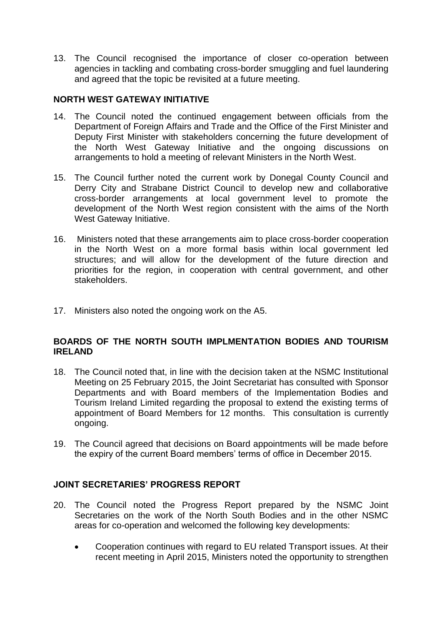13. The Council recognised the importance of closer co-operation between agencies in tackling and combating cross-border smuggling and fuel laundering and agreed that the topic be revisited at a future meeting.

### **NORTH WEST GATEWAY INITIATIVE**

- 14. The Council noted the continued engagement between officials from the Department of Foreign Affairs and Trade and the Office of the First Minister and Deputy First Minister with stakeholders concerning the future development of the North West Gateway Initiative and the ongoing discussions on arrangements to hold a meeting of relevant Ministers in the North West.
- 15. The Council further noted the current work by Donegal County Council and Derry City and Strabane District Council to develop new and collaborative cross-border arrangements at local government level to promote the development of the North West region consistent with the aims of the North West Gateway Initiative.
- 16. Ministers noted that these arrangements aim to place cross-border cooperation in the North West on a more formal basis within local government led structures; and will allow for the development of the future direction and priorities for the region, in cooperation with central government, and other stakeholders.
- 17. Ministers also noted the ongoing work on the A5.

#### **BOARDS OF THE NORTH SOUTH IMPLMENTATION BODIES AND TOURISM IRELAND**

- 18. The Council noted that, in line with the decision taken at the NSMC Institutional Meeting on 25 February 2015, the Joint Secretariat has consulted with Sponsor Departments and with Board members of the Implementation Bodies and Tourism Ireland Limited regarding the proposal to extend the existing terms of appointment of Board Members for 12 months. This consultation is currently ongoing.
- 19. The Council agreed that decisions on Board appointments will be made before the expiry of the current Board members' terms of office in December 2015.

#### **JOINT SECRETARIES' PROGRESS REPORT**

- 20. The Council noted the Progress Report prepared by the NSMC Joint Secretaries on the work of the North South Bodies and in the other NSMC areas for co-operation and welcomed the following key developments:
	- Cooperation continues with regard to EU related Transport issues. At their recent meeting in April 2015, Ministers noted the opportunity to strengthen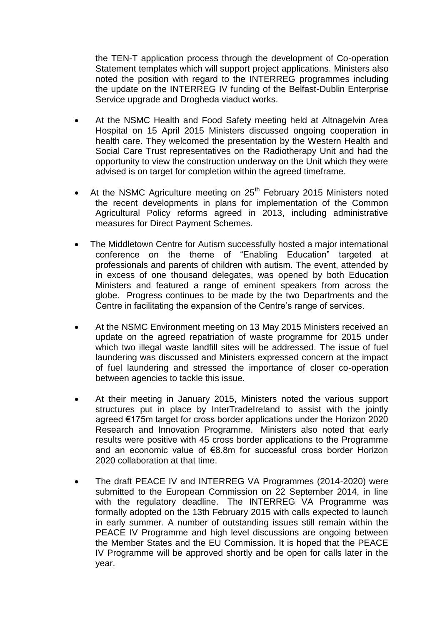the TEN-T application process through the development of Co-operation Statement templates which will support project applications. Ministers also noted the position with regard to the INTERREG programmes including the update on the INTERREG IV funding of the Belfast-Dublin Enterprise Service upgrade and Drogheda viaduct works.

- At the NSMC Health and Food Safety meeting held at Altnagelvin Area Hospital on 15 April 2015 Ministers discussed ongoing cooperation in health care. They welcomed the presentation by the Western Health and Social Care Trust representatives on the Radiotherapy Unit and had the opportunity to view the construction underway on the Unit which they were advised is on target for completion within the agreed timeframe.
- At the NSMC Agriculture meeting on 25<sup>th</sup> February 2015 Ministers noted the recent developments in plans for implementation of the Common Agricultural Policy reforms agreed in 2013, including administrative measures for Direct Payment Schemes.
- The Middletown Centre for Autism successfully hosted a major international conference on the theme of "Enabling Education" targeted at professionals and parents of children with autism. The event, attended by in excess of one thousand delegates, was opened by both Education Ministers and featured a range of eminent speakers from across the globe. Progress continues to be made by the two Departments and the Centre in facilitating the expansion of the Centre's range of services.
- At the NSMC Environment meeting on 13 May 2015 Ministers received an update on the agreed repatriation of waste programme for 2015 under which two illegal waste landfill sites will be addressed. The issue of fuel laundering was discussed and Ministers expressed concern at the impact of fuel laundering and stressed the importance of closer co-operation between agencies to tackle this issue.
- At their meeting in January 2015, Ministers noted the various support structures put in place by InterTradeIreland to assist with the jointly agreed €175m target for cross border applications under the Horizon 2020 Research and Innovation Programme. Ministers also noted that early results were positive with 45 cross border applications to the Programme and an economic value of €8.8m for successful cross border Horizon 2020 collaboration at that time.
- The draft PEACE IV and INTERREG VA Programmes (2014-2020) were submitted to the European Commission on 22 September 2014, in line with the regulatory deadline. The INTERREG VA Programme was formally adopted on the 13th February 2015 with calls expected to launch in early summer. A number of outstanding issues still remain within the PEACE IV Programme and high level discussions are ongoing between the Member States and the EU Commission. It is hoped that the PEACE IV Programme will be approved shortly and be open for calls later in the year.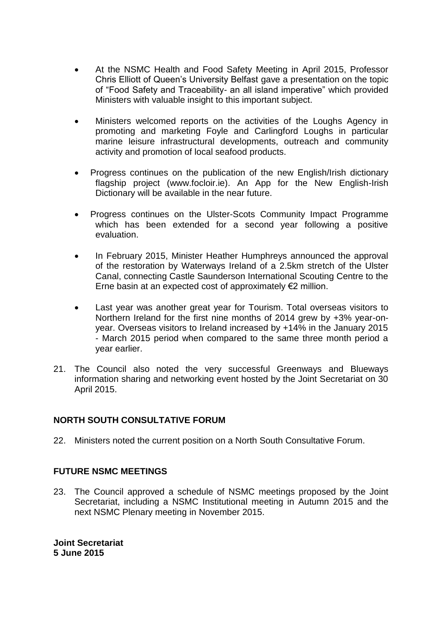- At the NSMC Health and Food Safety Meeting in April 2015, Professor Chris Elliott of Queen's University Belfast gave a presentation on the topic of "Food Safety and Traceability- an all island imperative" which provided Ministers with valuable insight to this important subject.
- Ministers welcomed reports on the activities of the Loughs Agency in promoting and marketing Foyle and Carlingford Loughs in particular marine leisure infrastructural developments, outreach and community activity and promotion of local seafood products.
- Progress continues on the publication of the new English/Irish dictionary flagship project [\(www.focloir.ie\)](http://www.focloir.ie/). An App for the New English-Irish Dictionary will be available in the near future.
- Progress continues on the Ulster-Scots Community Impact Programme which has been extended for a second year following a positive evaluation.
- In February 2015, Minister Heather Humphreys announced the approval of the restoration by Waterways Ireland of a 2.5km stretch of the Ulster Canal, connecting Castle Saunderson International Scouting Centre to the Erne basin at an expected cost of approximately  $\notin 2$  million.
- Last year was another great year for Tourism. Total overseas visitors to Northern Ireland for the first nine months of 2014 grew by +3% year-onyear. Overseas visitors to Ireland increased by +14% in the January 2015 - March 2015 period when compared to the same three month period a year earlier.
- 21. The Council also noted the very successful Greenways and Blueways information sharing and networking event hosted by the Joint Secretariat on 30 April 2015.

#### **NORTH SOUTH CONSULTATIVE FORUM**

22. Ministers noted the current position on a North South Consultative Forum.

#### **FUTURE NSMC MEETINGS**

23. The Council approved a schedule of NSMC meetings proposed by the Joint Secretariat, including a NSMC Institutional meeting in Autumn 2015 and the next NSMC Plenary meeting in November 2015.

**Joint Secretariat 5 June 2015**